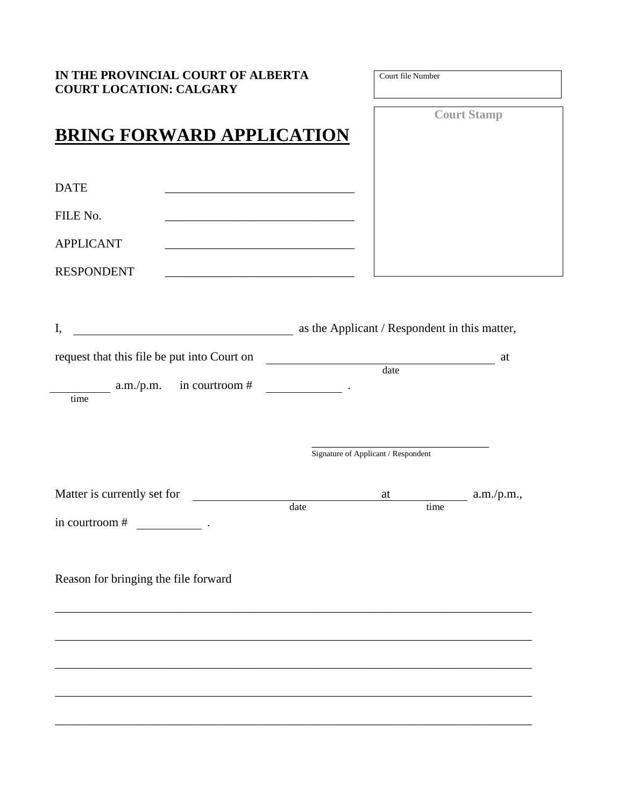| IN THE PROVINCIAL COURT OF ALBERTA<br><b>COURT LOCATION: CALGARY</b>                          | Court file Number                             |                    |
|-----------------------------------------------------------------------------------------------|-----------------------------------------------|--------------------|
| <b>BRING FORWARD APPLICATION</b>                                                              |                                               | <b>Court Stamp</b> |
| <b>DATE</b>                                                                                   |                                               |                    |
| FILE No.                                                                                      |                                               |                    |
| <b>APPLICANT</b>                                                                              |                                               |                    |
| <b>RESPONDENT</b><br><u> 1989 - Johann Stoff, amerikansk politiker (d. 1989)</u>              |                                               |                    |
|                                                                                               |                                               |                    |
| <u> 1990 - Johann Barn, fransk politik (</u><br>I,                                            | as the Applicant / Respondent in this matter, |                    |
| request that this file be put into Court on<br>$\begin{array}{c}\n\text{date} \\ \end{array}$ |                                               | at                 |
| $\frac{1}{2}$ a.m./p.m. in courtroom #                                                        |                                               |                    |
| time                                                                                          |                                               |                    |
|                                                                                               |                                               |                    |
|                                                                                               | Signature of Applicant / Respondent           |                    |
| Matter is currently set for                                                                   | at                                            | a.m./p.m.,         |
| date<br>in courtroom #                                                                        | time                                          |                    |
|                                                                                               |                                               |                    |
|                                                                                               |                                               |                    |
|                                                                                               |                                               |                    |
| Reason for bringing the file forward                                                          |                                               |                    |
|                                                                                               |                                               |                    |
|                                                                                               |                                               |                    |
|                                                                                               |                                               |                    |
|                                                                                               |                                               |                    |